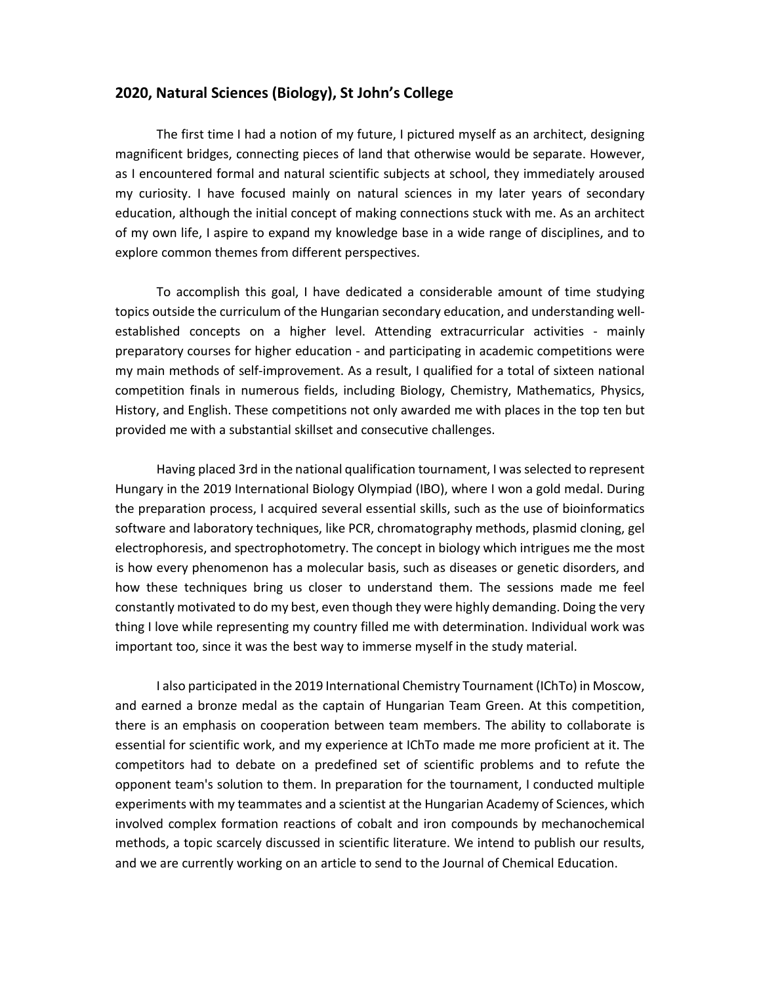## **2020, Natural Sciences (Biology), St John's College**

The first time I had a notion of my future, I pictured myself as an architect, designing magnificent bridges, connecting pieces of land that otherwise would be separate. However, as I encountered formal and natural scientific subjects at school, they immediately aroused my curiosity. I have focused mainly on natural sciences in my later years of secondary education, although the initial concept of making connections stuck with me. As an architect of my own life, I aspire to expand my knowledge base in a wide range of disciplines, and to explore common themes from different perspectives.

To accomplish this goal, I have dedicated a considerable amount of time studying topics outside the curriculum of the Hungarian secondary education, and understanding wellestablished concepts on a higher level. Attending extracurricular activities - mainly preparatory courses for higher education - and participating in academic competitions were my main methods of self-improvement. As a result, I qualified for a total of sixteen national competition finals in numerous fields, including Biology, Chemistry, Mathematics, Physics, History, and English. These competitions not only awarded me with places in the top ten but provided me with a substantial skillset and consecutive challenges.

Having placed 3rd in the national qualification tournament, I was selected to represent Hungary in the 2019 International Biology Olympiad (IBO), where I won a gold medal. During the preparation process, I acquired several essential skills, such as the use of bioinformatics software and laboratory techniques, like PCR, chromatography methods, plasmid cloning, gel electrophoresis, and spectrophotometry. The concept in biology which intrigues me the most is how every phenomenon has a molecular basis, such as diseases or genetic disorders, and how these techniques bring us closer to understand them. The sessions made me feel constantly motivated to do my best, even though they were highly demanding. Doing the very thing I love while representing my country filled me with determination. Individual work was important too, since it was the best way to immerse myself in the study material.

I also participated in the 2019 International Chemistry Tournament (IChTo) in Moscow, and earned a bronze medal as the captain of Hungarian Team Green. At this competition, there is an emphasis on cooperation between team members. The ability to collaborate is essential for scientific work, and my experience at IChTo made me more proficient at it. The competitors had to debate on a predefined set of scientific problems and to refute the opponent team's solution to them. In preparation for the tournament, I conducted multiple experiments with my teammates and a scientist at the Hungarian Academy of Sciences, which involved complex formation reactions of cobalt and iron compounds by mechanochemical methods, a topic scarcely discussed in scientific literature. We intend to publish our results, and we are currently working on an article to send to the Journal of Chemical Education.